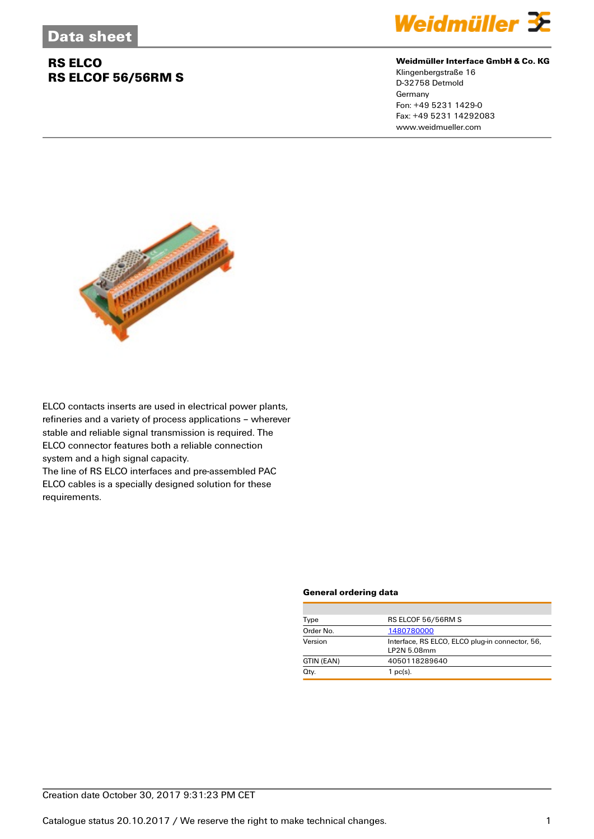

### **Weidmüller Interface GmbH & Co. KG**

Klingenbergstraße 16 D-32758 Detmold **Germany** Fon: +49 5231 1429-0 Fax: +49 5231 14292083 www.weidmueller.com



ELCO contacts inserts are used in electrical power plants, refineries and a variety of process applications – wherever stable and reliable signal transmission is required. The ELCO connector features both a reliable connection system and a high signal capacity.

The line of RS ELCO interfaces and pre-assembled PAC ELCO cables is a specially designed solution for these requirements.

#### **General ordering data**

| Type       | RS ELCOF 56/56RM S                                             |  |  |
|------------|----------------------------------------------------------------|--|--|
| Order No.  | 1480780000                                                     |  |  |
| Version    | Interface, RS ELCO, ELCO plug-in connector, 56,<br>LP2N 5.08mm |  |  |
| GTIN (EAN) | 4050118289640                                                  |  |  |
| Qty.       | $1$ pc(s).                                                     |  |  |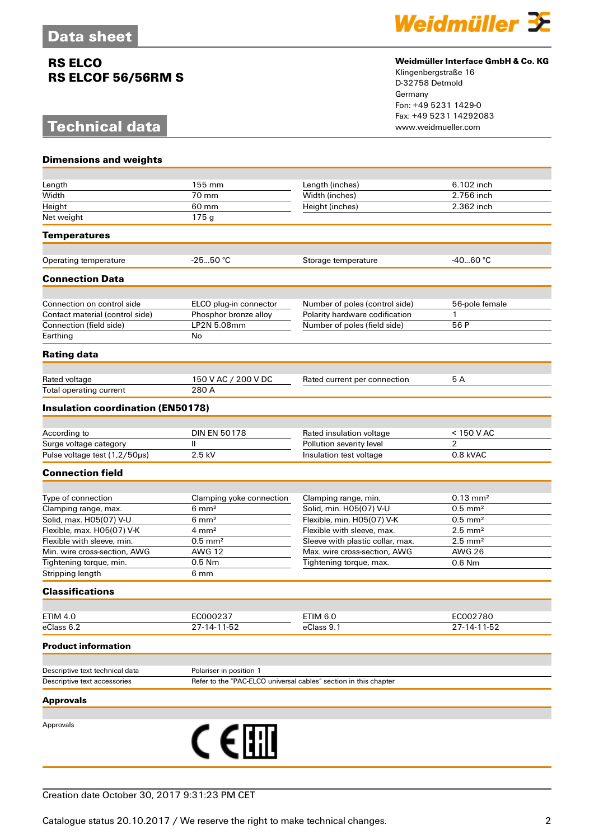# **Technical data**



### **Weidmüller Interface GmbH & Co. KG**

Klingenbergstraße 16 D-32758 Detmold Germany Fon: +49 5231 1429-0 Fax: +49 5231 14292083

| <b>Dimensions and weights</b>            |                                                                  |                                  |                         |
|------------------------------------------|------------------------------------------------------------------|----------------------------------|-------------------------|
|                                          |                                                                  |                                  |                         |
| Length                                   | 155 mm                                                           | Length (inches)                  | 6.102 inch              |
| Width                                    | 70 mm                                                            | Width (inches)                   | 2.756 inch              |
| Height                                   | 60 mm                                                            | Height (inches)                  | 2.362 inch              |
| Net weight                               | 175g                                                             |                                  |                         |
| <b>Temperatures</b>                      |                                                                  |                                  |                         |
|                                          |                                                                  |                                  |                         |
| Operating temperature                    | $-2550 °C$                                                       | Storage temperature              | $-4060 °C$              |
| <b>Connection Data</b>                   |                                                                  |                                  |                         |
| Connection on control side               | ELCO plug-in connector                                           | Number of poles (control side)   | 56-pole female          |
| Contact material (control side)          | Phosphor bronze alloy                                            | Polarity hardware codification   | 1                       |
| Connection (field side)                  | LP2N 5.08mm                                                      | Number of poles (field side)     | 56 P                    |
| Earthing                                 | No                                                               |                                  |                         |
| <b>Rating data</b>                       |                                                                  |                                  |                         |
|                                          |                                                                  |                                  |                         |
| Rated voltage<br>Total operating current | 150 V AC / 200 V DC<br>280 A                                     | Rated current per connection     | 5 A                     |
|                                          |                                                                  |                                  |                         |
| <b>Insulation coordination (EN50178)</b> |                                                                  |                                  |                         |
| According to                             | <b>DIN EN 50178</b>                                              | Rated insulation voltage         | $< 150$ V AC            |
| Surge voltage category                   | Ш                                                                | Pollution severity level         | $\overline{2}$          |
| Pulse voltage test (1,2/50us)            | 2.5 kV                                                           | Insulation test voltage          | 0.8 kVAC                |
| <b>Connection field</b>                  |                                                                  |                                  |                         |
|                                          |                                                                  |                                  |                         |
| Type of connection                       | Clamping yoke connection                                         | Clamping range, min.             | $0.13 \, \text{mm}^2$   |
| Clamping range, max.                     | $6 \text{ mm}^2$                                                 | Solid, min. H05(07) V-U          | $0.5$ mm <sup>2</sup>   |
| Solid, max. H05(07) V-U                  | $6 \text{ mm}^2$                                                 | Flexible, min. H05(07) V-K       | $0.5$ mm <sup>2</sup>   |
| Flexible, max. H05(07) V-K               | $4 \, \text{mm}^2$                                               | Flexible with sleeve, max.       | $2.5$ mm <sup>2</sup>   |
| Flexible with sleeve, min.               | $0.5$ mm <sup>2</sup>                                            | Sleeve with plastic collar, max. | $2.5$ mm <sup>2</sup>   |
| Min. wire cross-section, AWG             | <b>AWG 12</b>                                                    | Max. wire cross-section, AWG     | <b>AWG 26</b>           |
| Tightening torque, min.                  | 0.5 Nm                                                           | Tightening torque, max.          | 0.6 Nm                  |
| Stripping length                         | 6 mm                                                             |                                  |                         |
| <b>Classifications</b>                   |                                                                  |                                  |                         |
|                                          |                                                                  |                                  |                         |
| <b>ETIM 4.0</b><br>eClass 6.2            | EC000237<br>27-14-11-52                                          | <b>ETIM 6.0</b><br>eClass 9.1    | EC002780<br>27-14-11-52 |
| <b>Product information</b>               |                                                                  |                                  |                         |
|                                          |                                                                  |                                  |                         |
| Descriptive text technical data          | Polariser in position 1                                          |                                  |                         |
| Descriptive text accessories             | Refer to the "PAC-ELCO universal cables" section in this chapter |                                  |                         |
| <b>Approvals</b>                         |                                                                  |                                  |                         |
|                                          |                                                                  |                                  |                         |
| Approvals                                | C E圃                                                             |                                  |                         |
|                                          |                                                                  |                                  |                         |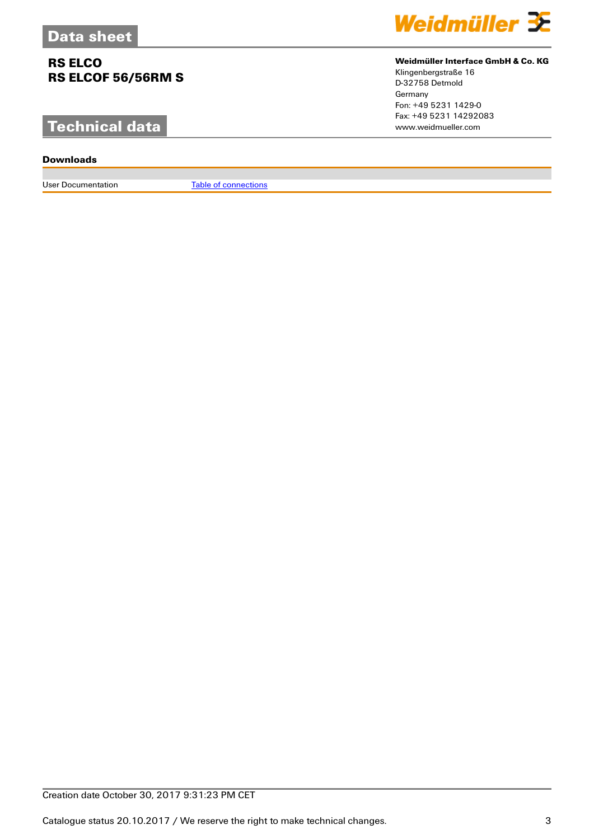# **Technical data**

### **Downloads**

User Documentation [Table of connections](http://download.weidmueller.com/asset/download/file//35475)



### **Weidmüller Interface GmbH & Co. KG**

Klingenbergstraße 16 D-32758 Detmold Germany Fon: +49 5231 1429-0 Fax: +49 5231 14292083